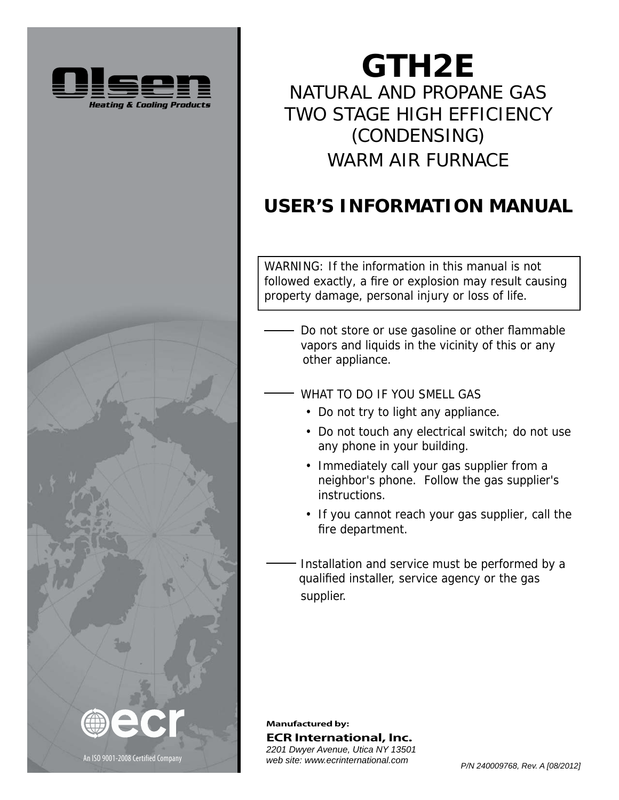



# **GTH2E** NATURAL AND PROPANE GAS TWO STAGE HIGH EFFICIENCY (CONDENSING) WARM AIR FURNACE

# **USER'S INFORMATION MANUAL**

WARNING: If the information in this manual is not followed exactly, a fire or explosion may result causing property damage, personal injury or loss of life.

- Do not store or use gasoline or other flammable vapors and liquids in the vicinity of this or any other appliance.
- WHAT TO DO IF YOU SMELL GAS
	- Do not try to light any appliance.
	- Do not touch any electrical switch; do not use any phone in your building.
	- Immediately call your gas supplier from a neighbor's phone. Follow the gas supplier's instructions.
	- If you cannot reach your gas supplier, call the fire department.

 Installation and service must be performed by a qualified installer, service agency or the gas supplier.

**Manufactured by: ECR International, Inc.** *2201 Dwyer Avenue, Utica NY 13501*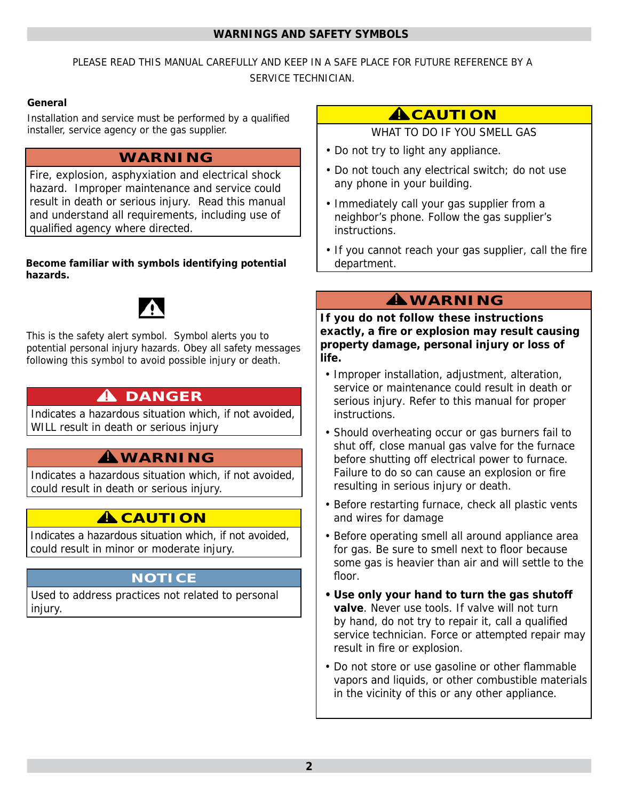### **WARNINGS AND SAFETY SYMBOLS**

## PLEASE READ THIS MANUAL CAREFULLY AND KEEP IN A SAFE PLACE FOR FUTURE REFERENCE BY A SERVICE TECHNICIAN.

## **General**

Installation and service must be performed by a qualified installer, service agency or the gas supplier.

## **WARNING**

Fire, explosion, asphyxiation and electrical shock hazard. Improper maintenance and service could result in death or serious injury. Read this manual and understand all requirements, including use of qualified agency where directed.

#### Become familiar with symbols identifying potential **hazards. azards.**



This is the safety alert symbol. Symbol alerts you to potential personal injury hazards. Obey all safety messages following this symbol to avoid possible injury or death.

# **A** DANGER

Indicates a hazardous situation which, if not avoided, WILL result in death or serious injury

# **WARNING !**

Indicates a hazardous situation which, if not avoided, could result in death or serious injury.

# **A** CAUTION

Indicates a hazardous situation which, if not avoided, could result in minor or moderate injury.

## **NOTICE**

Used to address practices not related to personal injury.

# **ACAUTION**

WHAT TO DO IF YOU SMELL GAS

- Do not try to light any appliance.
- Do not touch any electrical switch; do not use any phone in your building.
- Immediately call your gas supplier from a neighbor's phone. Follow the gas supplier's instructions.
- If you cannot reach your gas supplier, call the fire department.

# **WARNING !**

**If you do not follow these instructions exactly, a fi re or explosion may result causing property damage, personal injury or loss of life.**

- Improper installation, adjustment, alteration, service or maintenance could result in death or serious injury. Refer to this manual for proper instructions.
- Should overheating occur or gas burners fail to shut off, close manual gas valve for the furnace before shutting off electrical power to furnace. Failure to do so can cause an explosion or fire resulting in serious injury or death.
- Before restarting furnace, check all plastic vents and wires for damage
- Before operating smell all around appliance area for gas. Be sure to smell next to floor because some gas is heavier than air and will settle to the floor.
- **Use only your hand to turn the gas shutoff valve**. Never use tools. If valve will not turn by hand, do not try to repair it, call a qualified service technician. Force or attempted repair may result in fire or explosion.
- Do not store or use gasoline or other flammable vapors and liquids, or other combustible materials in the vicinity of this or any other appliance.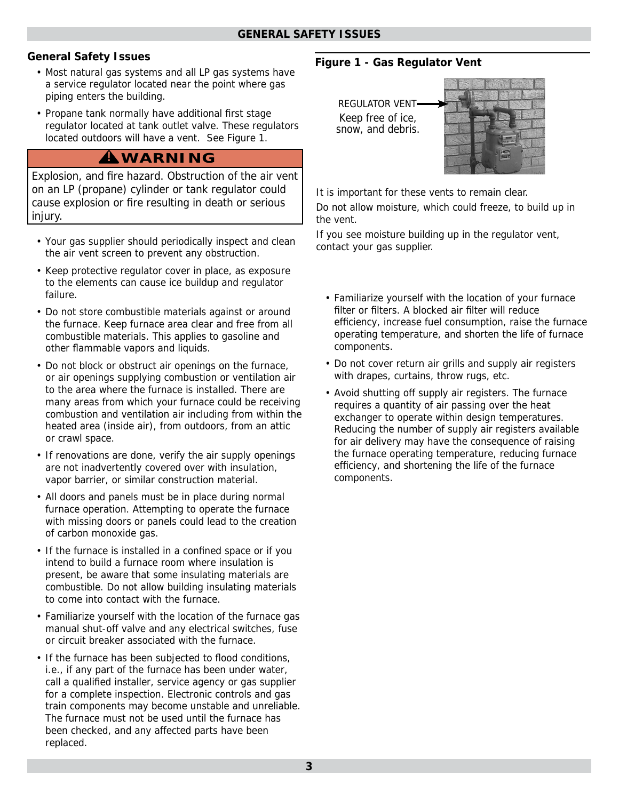## **General Safety Issues**

- Most natural gas systems and all LP gas systems have a service regulator located near the point where gas piping enters the building.
- Propane tank normally have additional first stage regulator located at tank outlet valve. These regulators located outdoors will have a vent. See Figure 1.

## **WARNING !**

Explosion, and fire hazard. Obstruction of the air vent on an LP (propane) cylinder or tank regulator could cause explosion or fire resulting in death or serious injury.

- Your gas supplier should periodically inspect and clean the air vent screen to prevent any obstruction.
- Keep protective regulator cover in place, as exposure to the elements can cause ice buildup and regulator failure.
- Do not store combustible materials against or around the furnace. Keep furnace area clear and free from all combustible materials. This applies to gasoline and other flammable vapors and liquids.
- Do not block or obstruct air openings on the furnace, or air openings supplying combustion or ventilation air to the area where the furnace is installed. There are many areas from which your furnace could be receiving combustion and ventilation air including from within the heated area (inside air), from outdoors, from an attic or crawl space.
- If renovations are done, verify the air supply openings are not inadvertently covered over with insulation, vapor barrier, or similar construction material.
- All doors and panels must be in place during normal furnace operation. Attempting to operate the furnace with missing doors or panels could lead to the creation of carbon monoxide gas.
- If the furnace is installed in a confined space or if you intend to build a furnace room where insulation is present, be aware that some insulating materials are combustible. Do not allow building insulating materials to come into contact with the furnace.
- Familiarize yourself with the location of the furnace gas manual shut-off valve and any electrical switches, fuse or circuit breaker associated with the furnace.
- If the furnace has been subjected to flood conditions, i.e., if any part of the furnace has been under water, call a qualified installer, service agency or gas supplier for a complete inspection. Electronic controls and gas train components may become unstable and unreliable. The furnace must not be used until the furnace has been checked, and any affected parts have been replaced.

## **Figure 1 - Gas Regulator Vent**





It is important for these vents to remain clear.

Do not allow moisture, which could freeze, to build up in the vent.

If you see moisture building up in the regulator vent, contact your gas supplier.

- Familiarize yourself with the location of your furnace filter or filters. A blocked air filter will reduce efficiency, increase fuel consumption, raise the furnace operating temperature, and shorten the life of furnace components.
- Do not cover return air grills and supply air registers with drapes, curtains, throw rugs, etc.
- Avoid shutting off supply air registers. The furnace requires a quantity of air passing over the heat exchanger to operate within design temperatures. Reducing the number of supply air registers available for air delivery may have the consequence of raising the furnace operating temperature, reducing furnace efficiency, and shortening the life of the furnace components.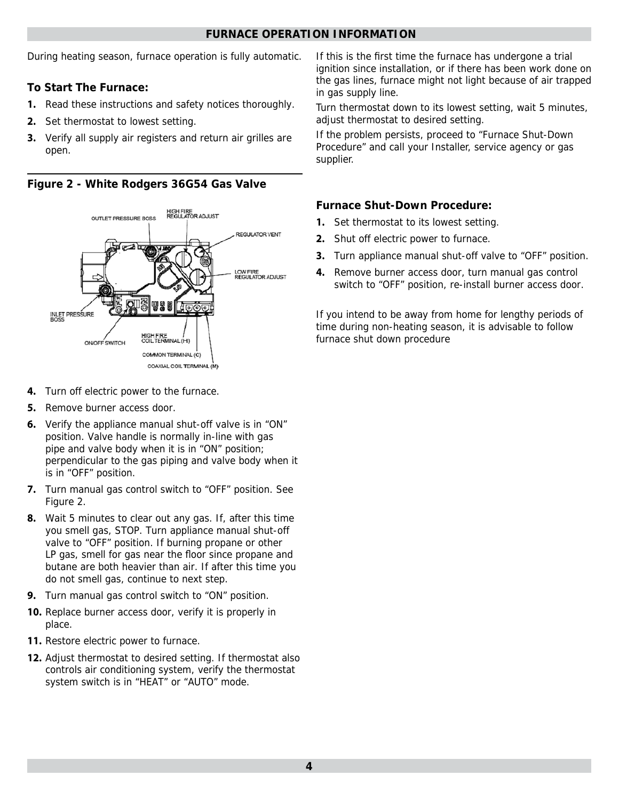#### **FURNACE OPERATION INFORMATION**

During heating season, furnace operation is fully automatic.

## **To Start The Furnace:**

- **1.** Read these instructions and safety notices thoroughly.
- **2.** Set thermostat to lowest setting.
- **3.** Verify all supply air registers and return air grilles are open.

**Figure 2 - White Rodgers 36G54 Gas Valve**



- **4.** Turn off electric power to the furnace.
- **5.** Remove burner access door.
- **6.** Verify the appliance manual shut-off valve is in "ON" position. Valve handle is normally in-line with gas pipe and valve body when it is in "ON" position; perpendicular to the gas piping and valve body when it is in "OFF" position.
- **7.** Turn manual gas control switch to "OFF" position. See Figure 2.
- **8.** Wait 5 minutes to clear out any gas. If, after this time you smell gas, STOP. Turn appliance manual shut-off valve to "OFF" position. If burning propane or other LP gas, smell for gas near the floor since propane and butane are both heavier than air. If after this time you do not smell gas, continue to next step.
- **9.** Turn manual gas control switch to "ON" position.
- **10.** Replace burner access door, verify it is properly in place.
- **11.** Restore electric power to furnace.
- **12.** Adjust thermostat to desired setting. If thermostat also controls air conditioning system, verify the thermostat system switch is in "HEAT" or "AUTO" mode.

If this is the first time the furnace has undergone a trial ignition since installation, or if there has been work done on the gas lines, furnace might not light because of air trapped in gas supply line.

Turn thermostat down to its lowest setting, wait 5 minutes, adjust thermostat to desired setting.

If the problem persists, proceed to "Furnace Shut-Down Procedure" and call your Installer, service agency or gas supplier.

## **Furnace Shut-Down Procedure:**

- **1.** Set thermostat to its lowest setting.
- **2.** Shut off electric power to furnace.
- **3.** Turn appliance manual shut-off valve to "OFF" position.
- **4.** Remove burner access door, turn manual gas control switch to "OFF" position, re-install burner access door.

If you intend to be away from home for lengthy periods of time during non-heating season, it is advisable to follow furnace shut down procedure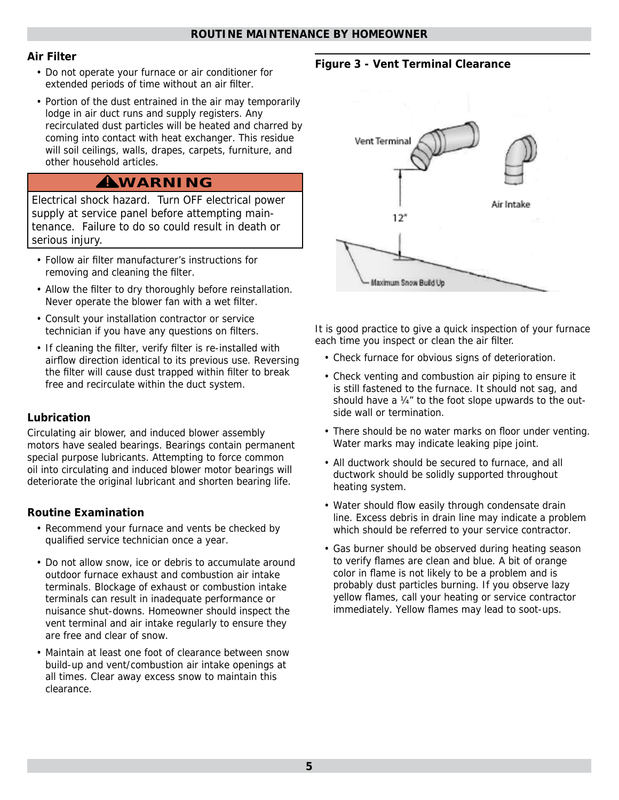## **Air Filter**

- Do not operate your furnace or air conditioner for extended periods of time without an air filter.
- Portion of the dust entrained in the air may temporarily lodge in air duct runs and supply registers. Any recirculated dust particles will be heated and charred by coming into contact with heat exchanger. This residue will soil ceilings, walls, drapes, carpets, furniture, and other household articles.

# **WARNING !**

Electrical shock hazard. Turn OFF electrical power supply at service panel before attempting maintenance. Failure to do so could result in death or serious injury.

- Follow air filter manufacturer's instructions for removing and cleaning the filter.
- Allow the filter to dry thoroughly before reinstallation. Never operate the blower fan with a wet filter.
- Consult your installation contractor or service technician if you have any questions on filters.
- If cleaning the filter, verify filter is re-installed with airflow direction identical to its previous use. Reversing the filter will cause dust trapped within filter to break free and recirculate within the duct system.

## **Lubrication**

Circulating air blower, and induced blower assembly motors have sealed bearings. Bearings contain permanent special purpose lubricants. Attempting to force common oil into circulating and induced blower motor bearings will deteriorate the original lubricant and shorten bearing life.

## **Routine Examination**

- Recommend your furnace and vents be checked by qualified service technician once a year.
- Do not allow snow, ice or debris to accumulate around outdoor furnace exhaust and combustion air intake terminals. Blockage of exhaust or combustion intake terminals can result in inadequate performance or nuisance shut-downs. Homeowner should inspect the vent terminal and air intake regularly to ensure they are free and clear of snow.
- Maintain at least one foot of clearance between snow build-up and vent/combustion air intake openings at all times. Clear away excess snow to maintain this clearance.

## **Figure 3 - Vent Terminal Clearance**



It is good practice to give a quick inspection of your furnace each time you inspect or clean the air filter.

- Check furnace for obvious signs of deterioration.
- Check venting and combustion air piping to ensure it is still fastened to the furnace. It should not sag, and should have a ¼" to the foot slope upwards to the outside wall or termination.
- There should be no water marks on floor under venting. Water marks may indicate leaking pipe joint.
- All ductwork should be secured to furnace, and all ductwork should be solidly supported throughout heating system.
- Water should flow easily through condensate drain line. Excess debris in drain line may indicate a problem which should be referred to your service contractor.
- Gas burner should be observed during heating season to verify flames are clean and blue. A bit of orange color in flame is not likely to be a problem and is probably dust particles burning. If you observe lazy yellow flames, call your heating or service contractor immediately. Yellow flames may lead to soot-ups.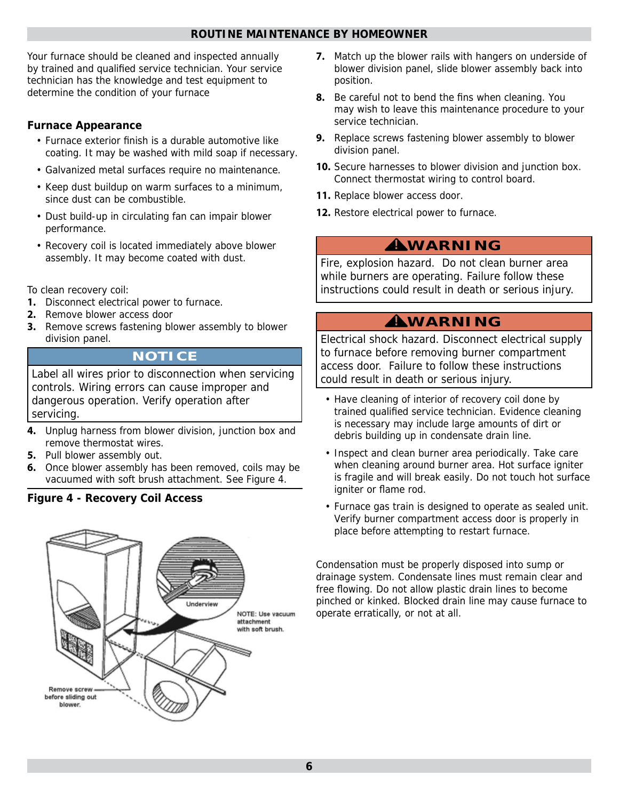## **ROUTINE MAINTENANCE BY HOMEOWNER**

Your furnace should be cleaned and inspected annually by trained and qualified service technician. Your service technician has the knowledge and test equipment to determine the condition of your furnace

## **Furnace Appearance**

- Furnace exterior finish is a durable automotive like coating. It may be washed with mild soap if necessary.
- Galvanized metal surfaces require no maintenance.
- Keep dust buildup on warm surfaces to a minimum, since dust can be combustible.
- Dust build-up in circulating fan can impair blower performance.
- Recovery coil is located immediately above blower assembly. It may become coated with dust.

To clean recovery coil:

- **1.** Disconnect electrical power to furnace.
- **2.** Remove blower access door
- **3.** Remove screws fastening blower assembly to blower division panel.

## **NOTICE**

Label all wires prior to disconnection when servicing controls. Wiring errors can cause improper and dangerous operation. Verify operation after servicing.

- **4.** Unplug harness from blower division, junction box and remove thermostat wires.
- **5.** Pull blower assembly out.
- **6.** Once blower assembly has been removed, coils may be vacuumed with soft brush attachment. See Figure 4.

## **Figure 4 - Recovery Coil Access**



- **7.** Match up the blower rails with hangers on underside of blower division panel, slide blower assembly back into position.
- **8.** Be careful not to bend the fins when cleaning. You may wish to leave this maintenance procedure to your service technician.
- **9.** Replace screws fastening blower assembly to blower division panel.
- **10.** Secure harnesses to blower division and junction box. Connect thermostat wiring to control board.
- 11. Replace blower access door.
- **12.** Restore electrical power to furnace.

# **WARNING !**

Fire, explosion hazard. Do not clean burner area while burners are operating. Failure follow these instructions could result in death or serious injury.

## **WARNING !**

Electrical shock hazard. Disconnect electrical supply to furnace before removing burner compartment access door. Failure to follow these instructions could result in death or serious injury.

- Have cleaning of interior of recovery coil done by trained qualified service technician. Evidence cleaning is necessary may include large amounts of dirt or debris building up in condensate drain line.
- Inspect and clean burner area periodically. Take care when cleaning around burner area. Hot surface igniter is fragile and will break easily. Do not touch hot surface igniter or flame rod.
- Furnace gas train is designed to operate as sealed unit. Verify burner compartment access door is properly in place before attempting to restart furnace.

Condensation must be properly disposed into sump or drainage system. Condensate lines must remain clear and free flowing. Do not allow plastic drain lines to become pinched or kinked. Blocked drain line may cause furnace to operate erratically, or not at all.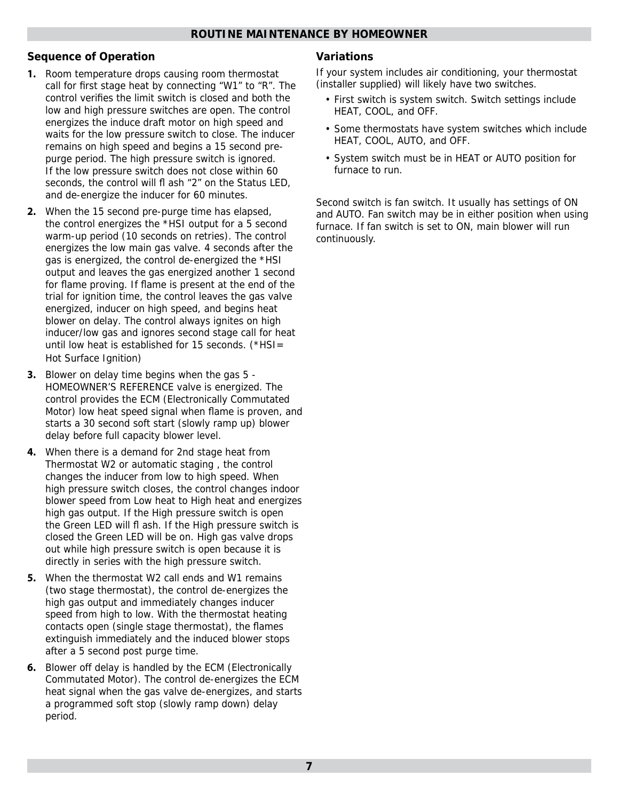## **Sequence of Operation**

- **1.** Room temperature drops causing room thermostat call for first stage heat by connecting "W1" to "R". The control verifies the limit switch is closed and both the low and high pressure switches are open. The control energizes the induce draft motor on high speed and waits for the low pressure switch to close. The inducer remains on high speed and begins a 15 second prepurge period. The high pressure switch is ignored. If the low pressure switch does not close within 60 seconds, the control will fl ash "2" on the Status LED, and de-energize the inducer for 60 minutes.
- **2.** When the 15 second pre-purge time has elapsed, the control energizes the \*HSI output for a 5 second warm-up period (10 seconds on retries). The control energizes the low main gas valve. 4 seconds after the gas is energized, the control de-energized the \*HSI output and leaves the gas energized another 1 second for flame proving. If flame is present at the end of the trial for ignition time, the control leaves the gas valve energized, inducer on high speed, and begins heat blower on delay. The control always ignites on high inducer/low gas and ignores second stage call for heat until low heat is established for 15 seconds. (\*HSI= Hot Surface Ignition)
- **3.** Blower on delay time begins when the gas 5 HOMEOWNER'S REFERENCE valve is energized. The control provides the ECM (Electronically Commutated Motor) low heat speed signal when flame is proven, and starts a 30 second soft start (slowly ramp up) blower delay before full capacity blower level.
- **4.** When there is a demand for 2nd stage heat from Thermostat W2 or automatic staging , the control changes the inducer from low to high speed. When high pressure switch closes, the control changes indoor blower speed from Low heat to High heat and energizes high gas output. If the High pressure switch is open the Green LED will fl ash. If the High pressure switch is closed the Green LED will be on. High gas valve drops out while high pressure switch is open because it is directly in series with the high pressure switch.
- **5.** When the thermostat W2 call ends and W1 remains (two stage thermostat), the control de-energizes the high gas output and immediately changes inducer speed from high to low. With the thermostat heating contacts open (single stage thermostat), the flames extinguish immediately and the induced blower stops after a 5 second post purge time.
- **6.** Blower off delay is handled by the ECM (Electronically Commutated Motor). The control de-energizes the ECM heat signal when the gas valve de-energizes, and starts a programmed soft stop (slowly ramp down) delay period.

### **Variations**

If your system includes air conditioning, your thermostat (installer supplied) will likely have two switches.

- First switch is system switch. Switch settings include HEAT, COOL, and OFF.
- Some thermostats have system switches which include HEAT, COOL, AUTO, and OFF.
- System switch must be in HEAT or AUTO position for furnace to run.

Second switch is fan switch. It usually has settings of ON and AUTO. Fan switch may be in either position when using furnace. If fan switch is set to ON, main blower will run continuously.